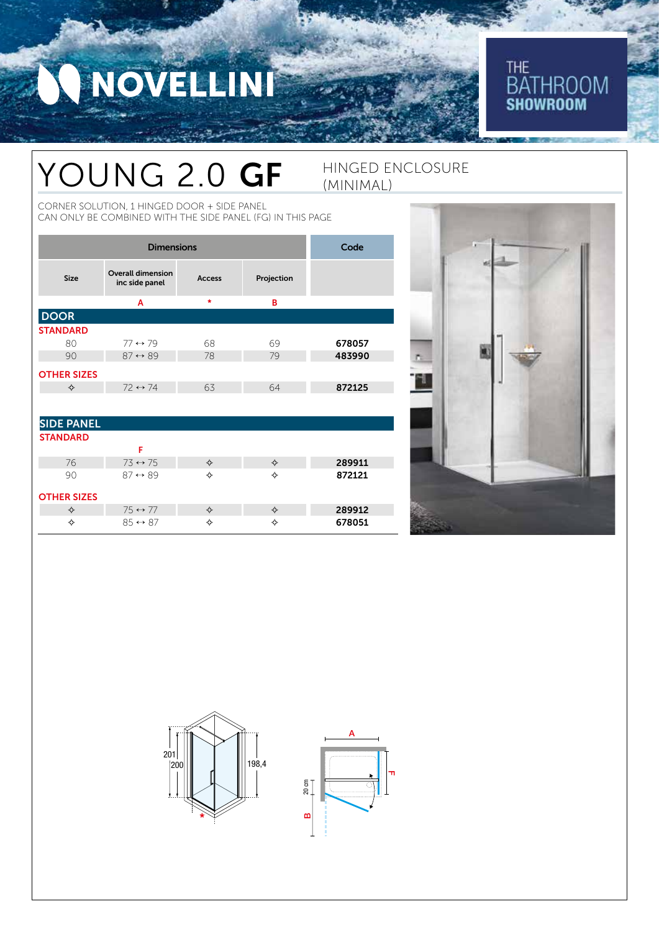NOVELLINI

## THE<br>BATHROOM<br>**Showroom**

## YOUNG 2.0 GF HINGED ENCLOSURE

CORNER SOLUTION, 1 HINGED DOOR + SIDE PANEL CAN ONLY BE COMBINED WITH THE SIDE PANEL (FG) IN THIS PAGE

| <b>Dimensions</b>  |                                            |               |            | Code   |
|--------------------|--------------------------------------------|---------------|------------|--------|
| <b>Size</b>        | <b>Overall dimension</b><br>inc side panel | <b>Access</b> | Projection |        |
|                    | A                                          | $\star$       | в          |        |
| <b>DOOR</b>        |                                            |               |            |        |
| <b>STANDARD</b>    |                                            |               |            |        |
| 80                 | $77 \leftrightarrow 79$                    | 68            | 69         | 678057 |
| 90                 | $87 \leftrightarrow 89$                    | 78            | 79         | 483990 |
| <b>OTHER SIZES</b> |                                            |               |            |        |
| ✧                  | $72 \leftrightarrow 74$                    | 63            | 64         | 872125 |
|                    |                                            |               |            |        |
| <b>SIDE PANEL</b>  |                                            |               |            |        |
| <b>STANDARD</b>    |                                            |               |            |        |
|                    | F                                          |               |            |        |
| 76                 | $73 \leftrightarrow 75$                    | ♦             | ♦          | 289911 |
| 90                 | $87 \leftrightarrow 89$                    | ❖             | ✧          | 872121 |

(MINIMAL)

#### OTHER SIZES

✧ 75 ↔ 77 ✧ ✧ 289912 ✧ 85 ↔ 87 ✧ ✧ 678051